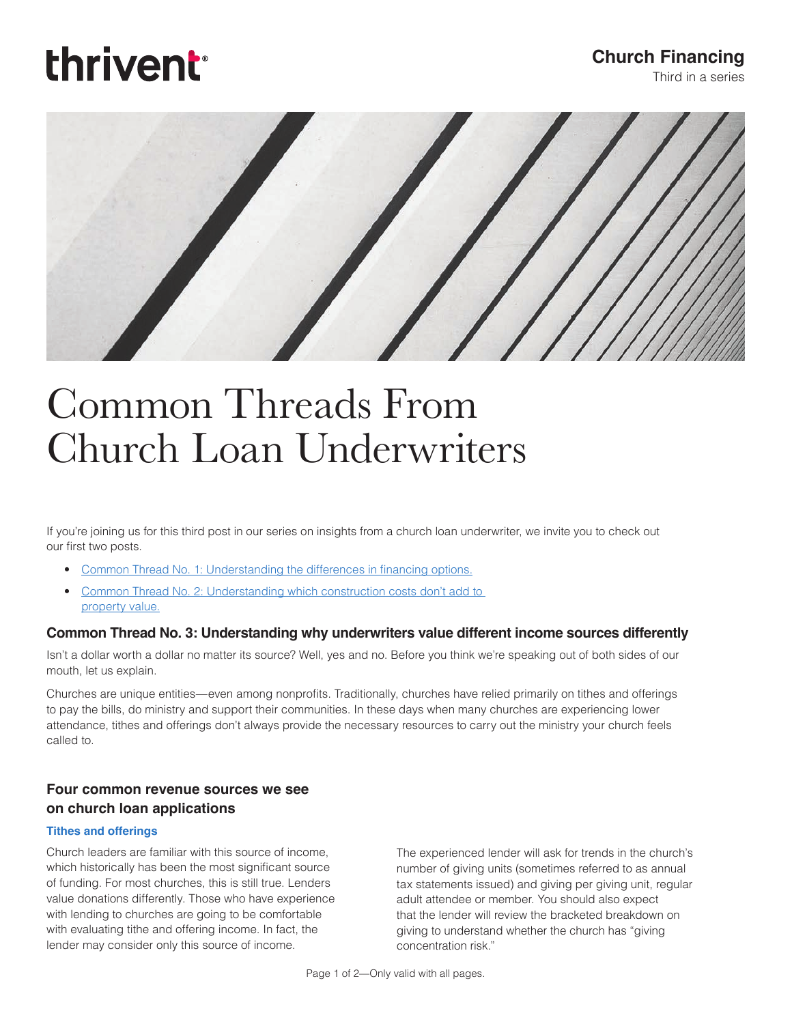# thrivent

### **Church Financing**

Third in a series

### Common Threads From Church Loan Underwriters

If you're joining us for this third post in our series on insights from a church loan underwriter, we invite you to check out our first two posts.

- [Common Thread No. 1: Understanding the differences in financing options.](https://cms-shared-resources.s3.amazonaws.com/ChurchLoans/Resources/29702A.pdf)
- [Common Thread No. 2: Understanding which construction costs don't add to](https://cms-shared-resources.s3.amazonaws.com/ChurchLoans/Resources/29702B.pdf)  [property value.](https://cms-shared-resources.s3.amazonaws.com/ChurchLoans/Resources/29702B.pdf)

#### **Common Thread No. 3: Understanding why underwriters value different income sources differently**

Isn't a dollar worth a dollar no matter its source? Well, yes and no. Before you think we're speaking out of both sides of our mouth, let us explain.

Churches are unique entities—even among nonprofits. Traditionally, churches have relied primarily on tithes and offerings to pay the bills, do ministry and support their communities. In these days when many churches are experiencing lower attendance, tithes and offerings don't always provide the necessary resources to carry out the ministry your church feels called to.

#### **Four common revenue sources we see on church loan applications**

#### **Tithes and offerings**

Church leaders are familiar with this source of income, which historically has been the most significant source of funding. For most churches, this is still true. Lenders value donations differently. Those who have experience with lending to churches are going to be comfortable with evaluating tithe and offering income. In fact, the lender may consider only this source of income.

The experienced lender will ask for trends in the church's number of giving units (sometimes referred to as annual tax statements issued) and giving per giving unit, regular adult attendee or member. You should also expect that the lender will review the bracketed breakdown on giving to understand whether the church has "giving concentration risk."